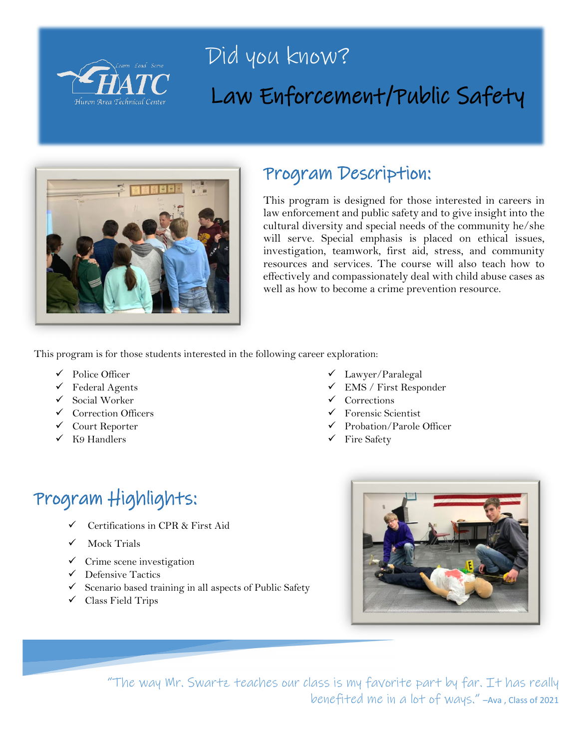

## Did you know? Law Enforcement/Public Safety



### Program Description:

This program is designed for those interested in careers in law enforcement and public safety and to give insight into the cultural diversity and special needs of the community he/she will serve. Special emphasis is placed on ethical issues, investigation, teamwork, first aid, stress, and community resources and services. The course will also teach how to effectively and compassionately deal with child abuse cases as well as how to become a crime prevention resource.

This program is for those students interested in the following career exploration:

- Police Officer
- $\checkmark$  Federal Agents
- $\checkmark$  Social Worker
- $\checkmark$  Correction Officers
- Court Reporter
- $\checkmark$  K9 Handlers
- Lawyer/Paralegal
- EMS / First Responder
- $\checkmark$  Corrections
- $\checkmark$  Forensic Scientist
- $\checkmark$  Probation/Parole Officer
- $\checkmark$  Fire Safety

## Program Highlights:

- $\checkmark$  Certifications in CPR & First Aid
- Mock Trials
- $\checkmark$  Crime scene investigation
- $\checkmark$  Defensive Tactics
- $\checkmark$  Scenario based training in all aspects of Public Safety
- $\checkmark$  Class Field Trips



"The way Mr. Swartz teaches our class is my favorite part by far. It has really benefited me in a lot of ways." –Ava , Class of 2021